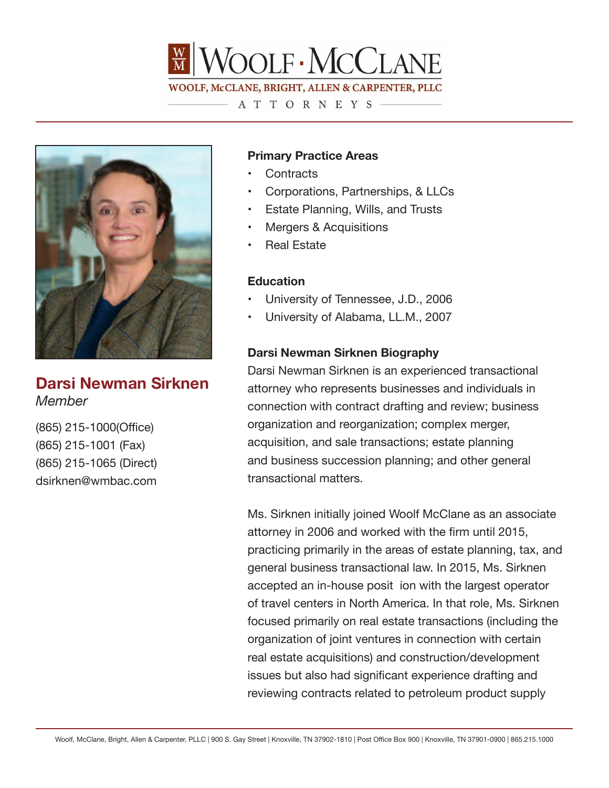

## ATTORNEYS-



**Darsi Newman Sirknen** *Member*

(865) 215-1000(Office) (865) 215-1001 (Fax) (865) 215-1065 (Direct) dsirknen@wmbac.com

## **Primary Practice Areas**

- Contracts
- Corporations, Partnerships, & LLCs
- Estate Planning, Wills, and Trusts
- Mergers & Acquisitions
- Real Estate

## **Education**

- University of Tennessee, J.D., 2006
- University of Alabama, LL.M., 2007

## **Darsi Newman Sirknen Biography**

Darsi Newman Sirknen is an experienced transactional attorney who represents businesses and individuals in connection with contract drafting and review; business organization and reorganization; complex merger, acquisition, and sale transactions; estate planning and business succession planning; and other general transactional matters.

Ms. Sirknen initially joined Woolf McClane as an associate attorney in 2006 and worked with the firm until 2015, practicing primarily in the areas of estate planning, tax, and general business transactional law. In 2015, Ms. Sirknen accepted an in-house posit ion with the largest operator of travel centers in North America. In that role, Ms. Sirknen focused primarily on real estate transactions (including the organization of joint ventures in connection with certain real estate acquisitions) and construction/development issues but also had significant experience drafting and reviewing contracts related to petroleum product supply